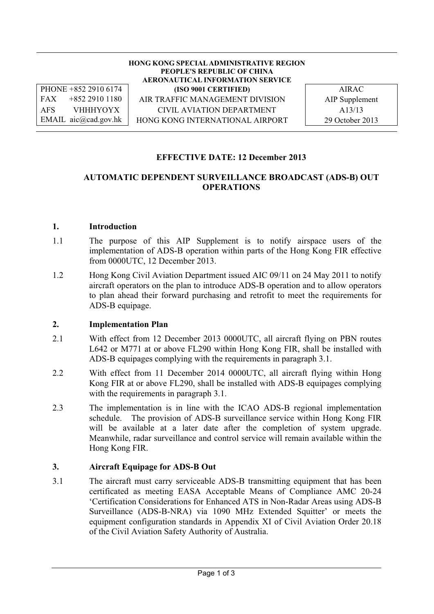**HONG KONG SPECIAL ADMINISTRATIVE REGION PEOPLE'S REPUBLIC OF CHINA AERONAUTICAL INFORMATION SERVICE** PHONE +852 2910 6174 **(ISO 9001 CERTIFIED)** AIRAC FAX +852 2910 1180 | AIR TRAFFIC MANAGEMENT DIVISION | AIP Supplement AFS VHHHYOYX CIVIL AVIATION DEPARTMENT 1 A13/13

EMAIL aic@cad.gov.hk | HONG KONG INTERNATIONAL AIRPORT | 29 October 2013

### **EFFECTIVE DATE: 12 December 2013**

### **AUTOMATIC DEPENDENT SURVEILLANCE BROADCAST (ADS-B) OUT OPERATIONS**

#### **1. Introduction**

- 1.1 The purpose of this AIP Supplement is to notify airspace users of the implementation of ADS-B operation within parts of the Hong Kong FIR effective from 0000UTC, 12 December 2013.
- 1.2 Hong Kong Civil Aviation Department issued AIC 09/11 on 24 May 2011 to notify aircraft operators on the plan to introduce ADS-B operation and to allow operators to plan ahead their forward purchasing and retrofit to meet the requirements for ADS-B equipage.

#### **2. Implementation Plan**

- 2.1 With effect from 12 December 2013 0000UTC, all aircraft flying on PBN routes L642 or M771 at or above FL290 within Hong Kong FIR, shall be installed with ADS-B equipages complying with the requirements in paragraph 3.1.
- 2.2 With effect from 11 December 2014 0000UTC, all aircraft flying within Hong Kong FIR at or above FL290, shall be installed with ADS-B equipages complying with the requirements in paragraph 3.1.
- 2.3 The implementation is in line with the ICAO ADS-B regional implementation schedule. The provision of ADS-B surveillance service within Hong Kong FIR will be available at a later date after the completion of system upgrade. Meanwhile, radar surveillance and control service will remain available within the Hong Kong FIR.

#### **3. Aircraft Equipage for ADS-B Out**

3.1 The aircraft must carry serviceable ADS-B transmitting equipment that has been certificated as meeting EASA Acceptable Means of Compliance AMC 20-24 'Certification Considerations for Enhanced ATS in Non-Radar Areas using ADS-B Surveillance (ADS-B-NRA) via 1090 MHz Extended Squitter' or meets the equipment configuration standards in Appendix XI of Civil Aviation Order 20.18 of the Civil Aviation Safety Authority of Australia.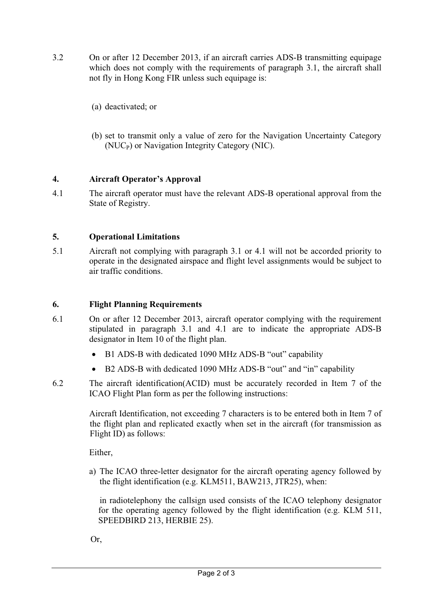- 3.2 On or after 12 December 2013, if an aircraft carries ADS-B transmitting equipage which does not comply with the requirements of paragraph 3.1, the aircraft shall not fly in Hong Kong FIR unless such equipage is:
	- (a) deactivated; or
	- (b) set to transmit only a value of zero for the Navigation Uncertainty Category  $(NUC<sub>P</sub>)$  or Navigation Integrity Category (NIC).

## **4. Aircraft Operator's Approval**

4.1 The aircraft operator must have the relevant ADS-B operational approval from the State of Registry.

# **5. Operational Limitations**

5.1 Aircraft not complying with paragraph 3.1 or 4.1 will not be accorded priority to operate in the designated airspace and flight level assignments would be subject to air traffic conditions.

## **6. Flight Planning Requirements**

- 6.1 On or after 12 December 2013, aircraft operator complying with the requirement stipulated in paragraph 3.1 and 4.1 are to indicate the appropriate ADS-B designator in Item 10 of the flight plan.
	- B1 ADS-B with dedicated 1090 MHz ADS-B "out" capability
	- B2 ADS-B with dedicated 1090 MHz ADS-B "out" and "in" capability
- 6.2 The aircraft identification(ACID) must be accurately recorded in Item 7 of the ICAO Flight Plan form as per the following instructions:

Aircraft Identification, not exceeding 7 characters is to be entered both in Item 7 of the flight plan and replicated exactly when set in the aircraft (for transmission as Flight ID) as follows:

Either,

a) The ICAO three-letter designator for the aircraft operating agency followed by the flight identification (e.g. KLM511, BAW213, JTR25), when:

in radiotelephony the callsign used consists of the ICAO telephony designator for the operating agency followed by the flight identification (e.g. KLM 511, SPEEDBIRD 213, HERBIE 25).

Or,